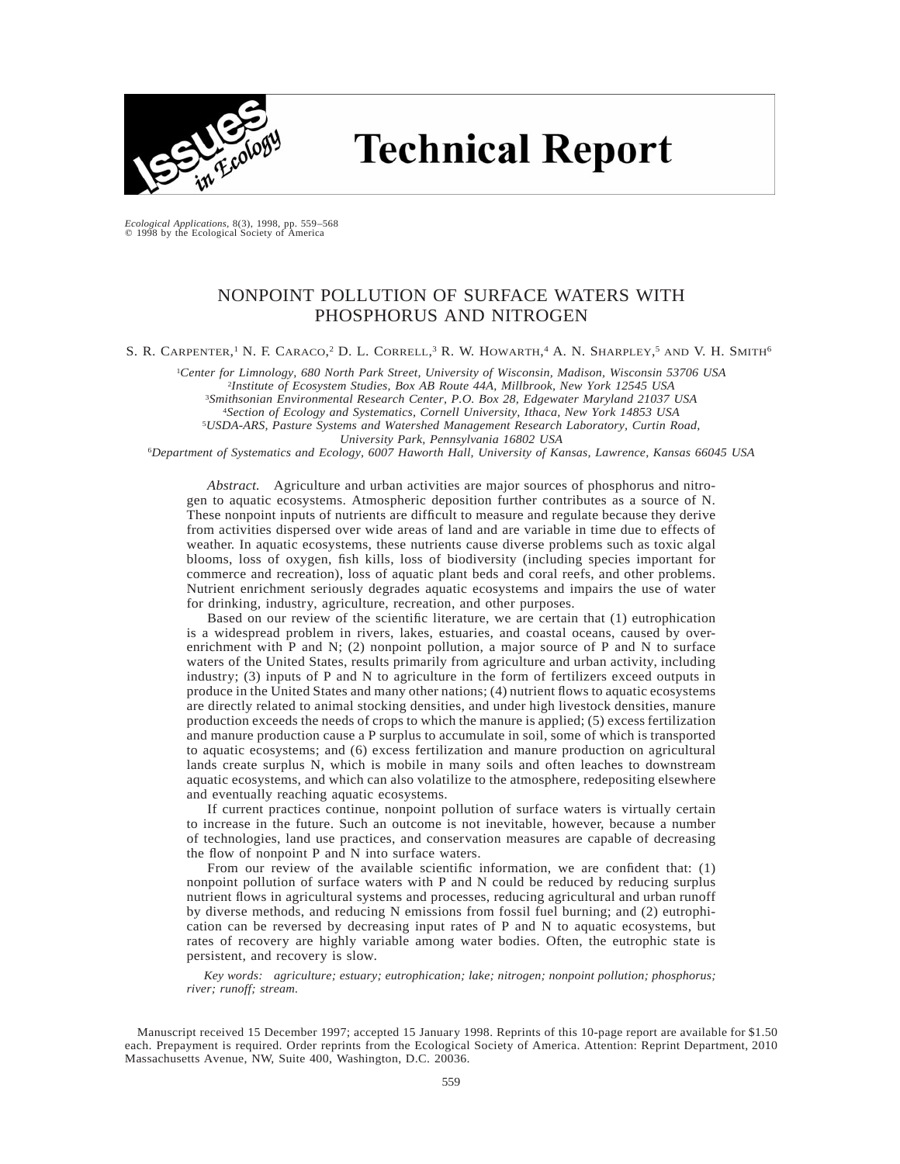

# **Technical Report**

*Ecological Applications,* 8(3), 1998, pp. 559–568 © 1998 by the Ecological Society of America

# NONPOINT POLLUTION OF SURFACE WATERS WITH PHOSPHORUS AND NITROGEN

S. R. CARPENTER,<sup>1</sup> N. F. CARACO,<sup>2</sup> D. L. CORRELL,<sup>3</sup> R. W. HOWARTH,<sup>4</sup> A. N. SHARPLEY,<sup>5</sup> AND V. H. SMITH<sup>6</sup>

1 *Center for Limnology, 680 North Park Street, University of Wisconsin, Madison, Wisconsin 53706 USA* 2 *Institute of Ecosystem Studies, Box AB Route 44A, Millbrook, New York 12545 USA* <sup>3</sup>*Smithsonian Environmental Research Center, P.O. Box 28, Edgewater Maryland 21037 USA*

<sup>4</sup>*Section of Ecology and Systematics, Cornell University, Ithaca, New York 14853 USA*

<sup>5</sup>*USDA-ARS, Pasture Systems and Watershed Management Research Laboratory, Curtin Road,*

*University Park, Pennsylvania 16802 USA*

<sup>6</sup>*Department of Systematics and Ecology, 6007 Haworth Hall, University of Kansas, Lawrence, Kansas 66045 USA*

*Abstract.* Agriculture and urban activities are major sources of phosphorus and nitrogen to aquatic ecosystems. Atmospheric deposition further contributes as a source of N. These nonpoint inputs of nutrients are difficult to measure and regulate because they derive from activities dispersed over wide areas of land and are variable in time due to effects of weather. In aquatic ecosystems, these nutrients cause diverse problems such as toxic algal blooms, loss of oxygen, fish kills, loss of biodiversity (including species important for commerce and recreation), loss of aquatic plant beds and coral reefs, and other problems. Nutrient enrichment seriously degrades aquatic ecosystems and impairs the use of water for drinking, industry, agriculture, recreation, and other purposes.

Based on our review of the scientific literature, we are certain that (1) eutrophication is a widespread problem in rivers, lakes, estuaries, and coastal oceans, caused by overenrichment with P and N; (2) nonpoint pollution, a major source of P and N to surface waters of the United States, results primarily from agriculture and urban activity, including industry; (3) inputs of P and N to agriculture in the form of fertilizers exceed outputs in produce in the United States and many other nations; (4) nutrient flows to aquatic ecosystems are directly related to animal stocking densities, and under high livestock densities, manure production exceeds the needs of crops to which the manure is applied; (5) excess fertilization and manure production cause a P surplus to accumulate in soil, some of which is transported to aquatic ecosystems; and (6) excess fertilization and manure production on agricultural lands create surplus N, which is mobile in many soils and often leaches to downstream aquatic ecosystems, and which can also volatilize to the atmosphere, redepositing elsewhere and eventually reaching aquatic ecosystems.

If current practices continue, nonpoint pollution of surface waters is virtually certain to increase in the future. Such an outcome is not inevitable, however, because a number of technologies, land use practices, and conservation measures are capable of decreasing the flow of nonpoint P and N into surface waters.

From our review of the available scientific information, we are confident that: (1) nonpoint pollution of surface waters with P and N could be reduced by reducing surplus nutrient flows in agricultural systems and processes, reducing agricultural and urban runoff by diverse methods, and reducing N emissions from fossil fuel burning; and (2) eutrophication can be reversed by decreasing input rates of P and N to aquatic ecosystems, but rates of recovery are highly variable among water bodies. Often, the eutrophic state is persistent, and recovery is slow.

*Key words: agriculture; estuary; eutrophication; lake; nitrogen; nonpoint pollution; phosphorus; river; runoff; stream.*

Manuscript received 15 December 1997; accepted 15 January 1998. Reprints of this 10-page report are available for \$1.50 each. Prepayment is required. Order reprints from the Ecological Society of America. Attention: Reprint Department, 2010 Massachusetts Avenue, NW, Suite 400, Washington, D.C. 20036.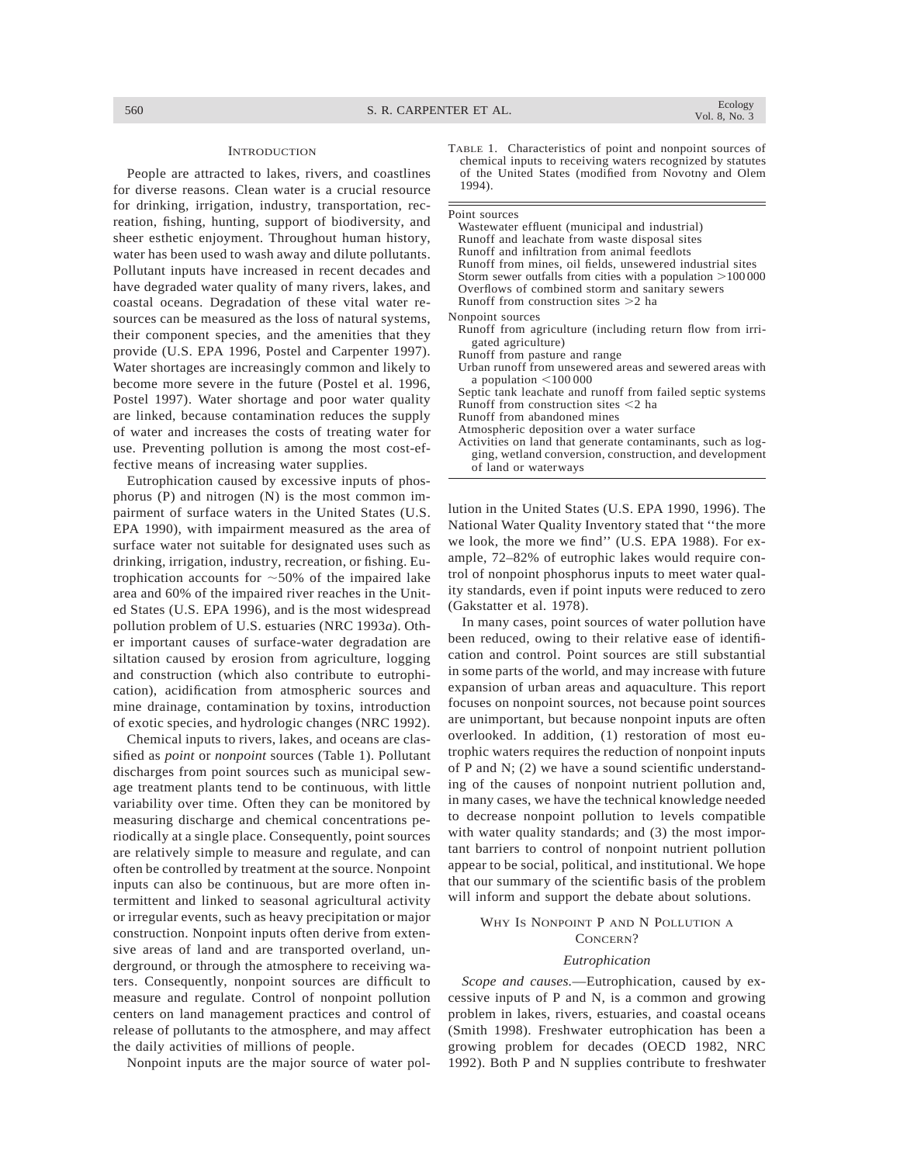#### **INTRODUCTION**

People are attracted to lakes, rivers, and coastlines for diverse reasons. Clean water is a crucial resource for drinking, irrigation, industry, transportation, recreation, fishing, hunting, support of biodiversity, and sheer esthetic enjoyment. Throughout human history, water has been used to wash away and dilute pollutants. Pollutant inputs have increased in recent decades and have degraded water quality of many rivers, lakes, and coastal oceans. Degradation of these vital water resources can be measured as the loss of natural systems, their component species, and the amenities that they provide (U.S. EPA 1996, Postel and Carpenter 1997). Water shortages are increasingly common and likely to become more severe in the future (Postel et al. 1996, Postel 1997). Water shortage and poor water quality are linked, because contamination reduces the supply of water and increases the costs of treating water for use. Preventing pollution is among the most cost-effective means of increasing water supplies.

Eutrophication caused by excessive inputs of phosphorus (P) and nitrogen (N) is the most common impairment of surface waters in the United States (U.S. EPA 1990), with impairment measured as the area of surface water not suitable for designated uses such as drinking, irrigation, industry, recreation, or fishing. Eutrophication accounts for  $\sim$  50% of the impaired lake area and 60% of the impaired river reaches in the United States (U.S. EPA 1996), and is the most widespread pollution problem of U.S. estuaries (NRC 1993*a*). Other important causes of surface-water degradation are siltation caused by erosion from agriculture, logging and construction (which also contribute to eutrophication), acidification from atmospheric sources and mine drainage, contamination by toxins, introduction of exotic species, and hydrologic changes (NRC 1992).

Chemical inputs to rivers, lakes, and oceans are classified as *point* or *nonpoint* sources (Table 1). Pollutant discharges from point sources such as municipal sewage treatment plants tend to be continuous, with little variability over time. Often they can be monitored by measuring discharge and chemical concentrations periodically at a single place. Consequently, point sources are relatively simple to measure and regulate, and can often be controlled by treatment at the source. Nonpoint inputs can also be continuous, but are more often intermittent and linked to seasonal agricultural activity or irregular events, such as heavy precipitation or major construction. Nonpoint inputs often derive from extensive areas of land and are transported overland, underground, or through the atmosphere to receiving waters. Consequently, nonpoint sources are difficult to measure and regulate. Control of nonpoint pollution centers on land management practices and control of release of pollutants to the atmosphere, and may affect the daily activities of millions of people.

Nonpoint inputs are the major source of water pol-

TABLE 1. Characteristics of point and nonpoint sources of chemical inputs to receiving waters recognized by statutes of the United States (modified from Novotny and Olem 1994).

| Point sources                                                |
|--------------------------------------------------------------|
| Wastewater effluent (municipal and industrial)               |
| Runoff and leachate from waste disposal sites                |
| Runoff and infiltration from animal feedlots                 |
| Runoff from mines, oil fields, unsewered industrial sites    |
| Storm sewer outfalls from cities with a population $>100000$ |
| Overflows of combined storm and sanitary sewers              |
| Runoff from construction sites $>2$ ha                       |
| Nonpoint sources                                             |
| Runoff from agriculture (including return flow from irri-    |
| gated agriculture)                                           |
| Runoff from pasture and range                                |
| Urban runoff from unsewered areas and sewered areas with     |
| a population $\leq 100000$                                   |
| Septic tank leachate and runoff from failed septic systems   |
| Runoff from construction sites $\leq 2$ ha                   |
| Runoff from abandoned mines                                  |
| Atmospheric deposition over a water surface                  |
| Activities on land that generate contaminants, such as log-  |
| ging, wetland conversion, construction, and development      |
| of land or waterways                                         |

lution in the United States (U.S. EPA 1990, 1996). The National Water Quality Inventory stated that ''the more we look, the more we find'' (U.S. EPA 1988). For example, 72–82% of eutrophic lakes would require control of nonpoint phosphorus inputs to meet water quality standards, even if point inputs were reduced to zero (Gakstatter et al. 1978).

In many cases, point sources of water pollution have been reduced, owing to their relative ease of identification and control. Point sources are still substantial in some parts of the world, and may increase with future expansion of urban areas and aquaculture. This report focuses on nonpoint sources, not because point sources are unimportant, but because nonpoint inputs are often overlooked. In addition, (1) restoration of most eutrophic waters requires the reduction of nonpoint inputs of P and N; (2) we have a sound scientific understanding of the causes of nonpoint nutrient pollution and, in many cases, we have the technical knowledge needed to decrease nonpoint pollution to levels compatible with water quality standards; and (3) the most important barriers to control of nonpoint nutrient pollution appear to be social, political, and institutional. We hope that our summary of the scientific basis of the problem will inform and support the debate about solutions.

# WHY IS NONPOINT P AND N POLLUTION A CONCERN?

#### *Eutrophication*

*Scope and causes.*—Eutrophication, caused by excessive inputs of P and N, is a common and growing problem in lakes, rivers, estuaries, and coastal oceans (Smith 1998). Freshwater eutrophication has been a growing problem for decades (OECD 1982, NRC 1992). Both P and N supplies contribute to freshwater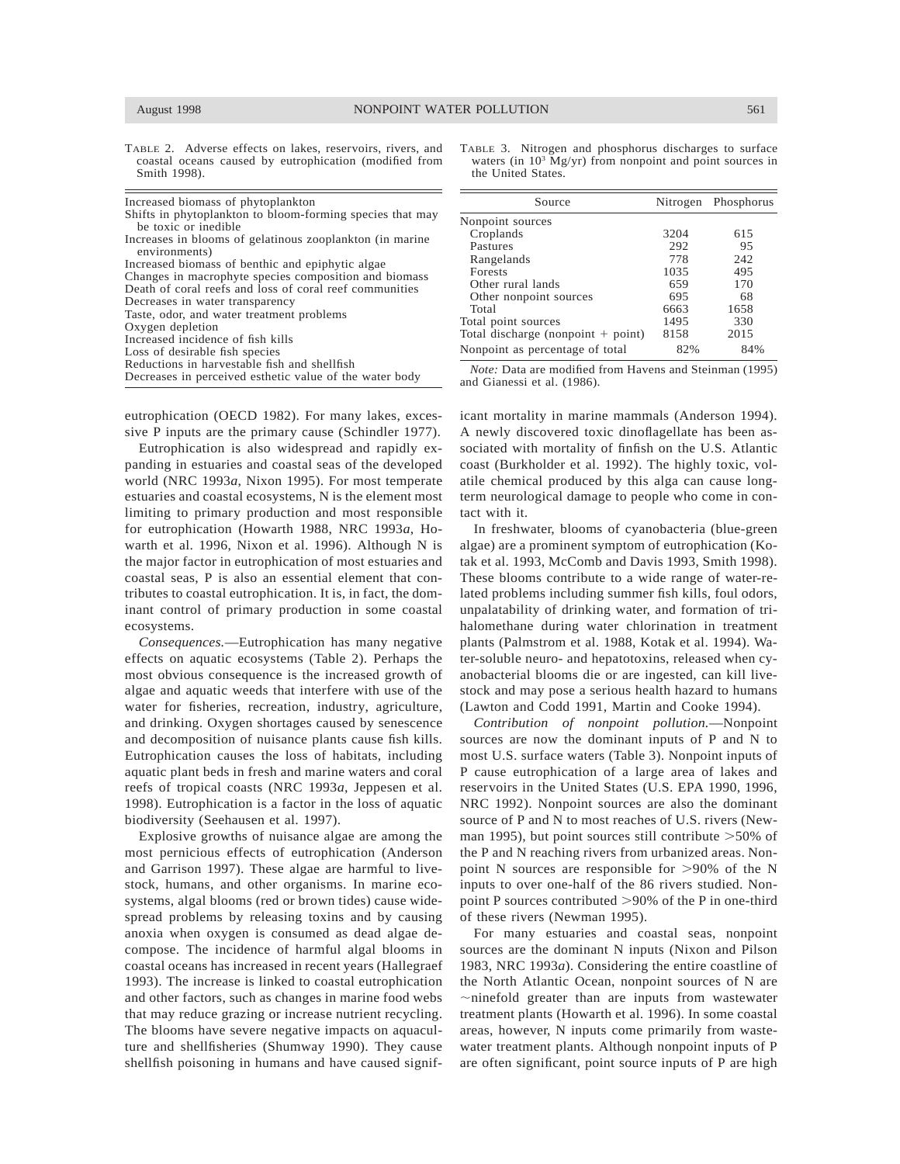TABLE 2. Adverse effects on lakes, reservoirs, rivers, and coastal oceans caused by eutrophication (modified from Smith 1998).

| Increased biomass of phytoplankton                        |
|-----------------------------------------------------------|
| Shifts in phytoplankton to bloom-forming species that may |
| be toxic or inedible                                      |
| Increases in blooms of gelatinous zooplankton (in marine  |
| environments)                                             |
| Increased biomass of benthic and epiphytic algae          |
| Changes in macrophyte species composition and biomass     |
| Death of coral reefs and loss of coral reef communities   |
| Decreases in water transparency                           |
| Taste, odor, and water treatment problems                 |
| Oxygen depletion                                          |
| Increased incidence of fish kills                         |
| Loss of desirable fish species                            |
| Reductions in harvestable fish and shellfish              |
| Decreases in perceived esthetic value of the water body   |
|                                                           |

eutrophication (OECD 1982). For many lakes, excessive P inputs are the primary cause (Schindler 1977).

Eutrophication is also widespread and rapidly expanding in estuaries and coastal seas of the developed world (NRC 1993*a*, Nixon 1995). For most temperate estuaries and coastal ecosystems, N is the element most limiting to primary production and most responsible for eutrophication (Howarth 1988, NRC 1993*a*, Howarth et al. 1996, Nixon et al. 1996). Although N is the major factor in eutrophication of most estuaries and coastal seas, P is also an essential element that contributes to coastal eutrophication. It is, in fact, the dominant control of primary production in some coastal ecosystems.

*Consequences.*—Eutrophication has many negative effects on aquatic ecosystems (Table 2). Perhaps the most obvious consequence is the increased growth of algae and aquatic weeds that interfere with use of the water for fisheries, recreation, industry, agriculture, and drinking. Oxygen shortages caused by senescence and decomposition of nuisance plants cause fish kills. Eutrophication causes the loss of habitats, including aquatic plant beds in fresh and marine waters and coral reefs of tropical coasts (NRC 1993*a*, Jeppesen et al. 1998). Eutrophication is a factor in the loss of aquatic biodiversity (Seehausen et al. 1997).

Explosive growths of nuisance algae are among the most pernicious effects of eutrophication (Anderson and Garrison 1997). These algae are harmful to livestock, humans, and other organisms. In marine ecosystems, algal blooms (red or brown tides) cause widespread problems by releasing toxins and by causing anoxia when oxygen is consumed as dead algae decompose. The incidence of harmful algal blooms in coastal oceans has increased in recent years (Hallegraef 1993). The increase is linked to coastal eutrophication and other factors, such as changes in marine food webs that may reduce grazing or increase nutrient recycling. The blooms have severe negative impacts on aquaculture and shellfisheries (Shumway 1990). They cause shellfish poisoning in humans and have caused signif-

| TABLE 3. Nitrogen and phosphorus discharges to surface     |  |
|------------------------------------------------------------|--|
| waters (in $103$ Mg/yr) from nonpoint and point sources in |  |
| the United States.                                         |  |

|      | Nitrogen Phosphorus |
|------|---------------------|
|      |                     |
| 3204 | 615                 |
| 292  | 95                  |
| 778  | 242                 |
| 1035 | 495                 |
| 659  | 170                 |
| 695  | 68                  |
| 6663 | 1658                |
| 1495 | 330                 |
| 8158 | 2015                |
| 82%  | 84%                 |
|      |                     |

*Note:* Data are modified from Havens and Steinman (1995) and Gianessi et al. (1986).

icant mortality in marine mammals (Anderson 1994). A newly discovered toxic dinoflagellate has been associated with mortality of finfish on the U.S. Atlantic coast (Burkholder et al. 1992). The highly toxic, volatile chemical produced by this alga can cause longterm neurological damage to people who come in contact with it.

In freshwater, blooms of cyanobacteria (blue-green algae) are a prominent symptom of eutrophication (Kotak et al. 1993, McComb and Davis 1993, Smith 1998). These blooms contribute to a wide range of water-related problems including summer fish kills, foul odors, unpalatability of drinking water, and formation of trihalomethane during water chlorination in treatment plants (Palmstrom et al. 1988, Kotak et al. 1994). Water-soluble neuro- and hepatotoxins, released when cyanobacterial blooms die or are ingested, can kill livestock and may pose a serious health hazard to humans (Lawton and Codd 1991, Martin and Cooke 1994).

*Contribution of nonpoint pollution.*—Nonpoint sources are now the dominant inputs of P and N to most U.S. surface waters (Table 3). Nonpoint inputs of P cause eutrophication of a large area of lakes and reservoirs in the United States (U.S. EPA 1990, 1996, NRC 1992). Nonpoint sources are also the dominant source of P and N to most reaches of U.S. rivers (Newman 1995), but point sources still contribute  $>50\%$  of the P and N reaching rivers from urbanized areas. Nonpoint N sources are responsible for  $>90\%$  of the N inputs to over one-half of the 86 rivers studied. Nonpoint P sources contributed  $>90\%$  of the P in one-third of these rivers (Newman 1995).

For many estuaries and coastal seas, nonpoint sources are the dominant N inputs (Nixon and Pilson 1983, NRC 1993*a*). Considering the entire coastline of the North Atlantic Ocean, nonpoint sources of N are  $\sim$ ninefold greater than are inputs from wastewater treatment plants (Howarth et al. 1996). In some coastal areas, however, N inputs come primarily from wastewater treatment plants. Although nonpoint inputs of P are often significant, point source inputs of P are high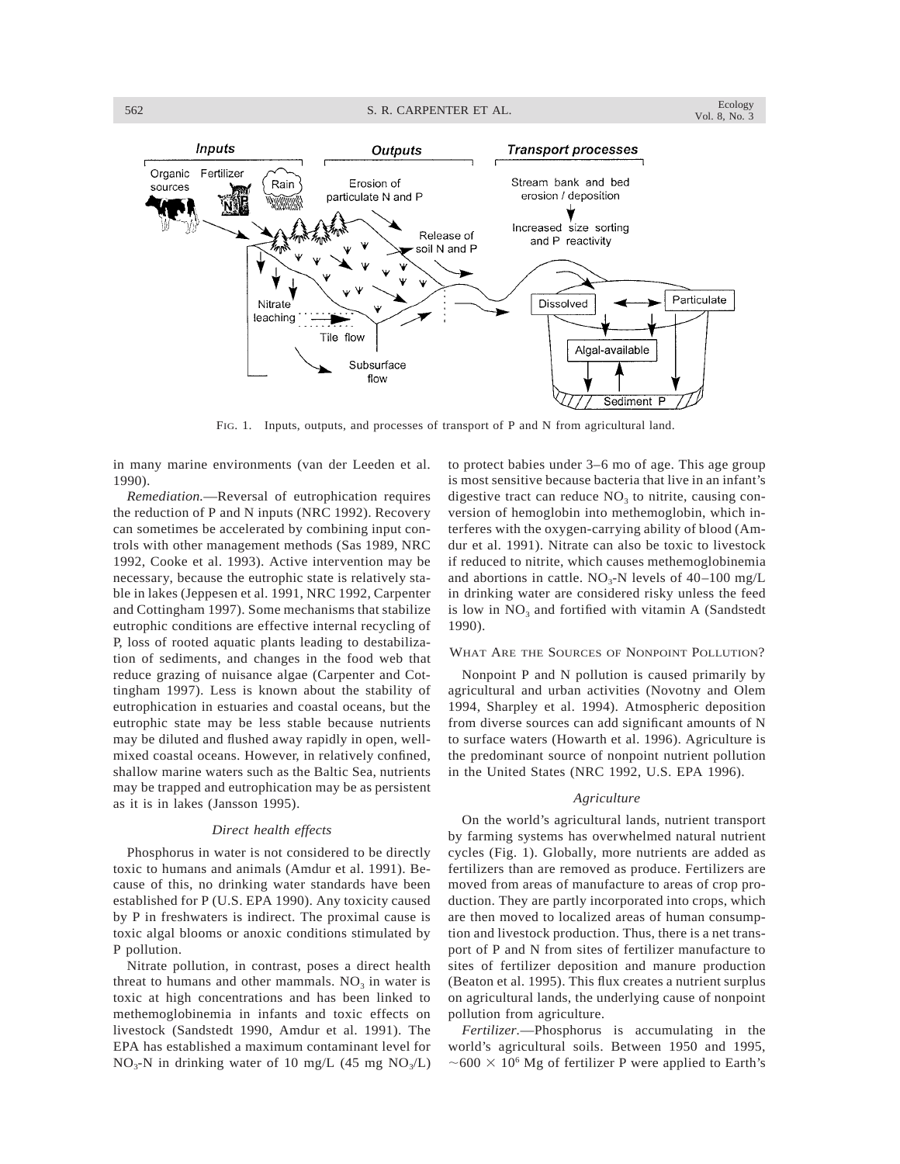

FIG. 1. Inputs, outputs, and processes of transport of P and N from agricultural land.

in many marine environments (van der Leeden et al. 1990).

*Remediation.*—Reversal of eutrophication requires the reduction of P and N inputs (NRC 1992). Recovery can sometimes be accelerated by combining input controls with other management methods (Sas 1989, NRC 1992, Cooke et al. 1993). Active intervention may be necessary, because the eutrophic state is relatively stable in lakes (Jeppesen et al. 1991, NRC 1992, Carpenter and Cottingham 1997). Some mechanisms that stabilize eutrophic conditions are effective internal recycling of P, loss of rooted aquatic plants leading to destabilization of sediments, and changes in the food web that reduce grazing of nuisance algae (Carpenter and Cottingham 1997). Less is known about the stability of eutrophication in estuaries and coastal oceans, but the eutrophic state may be less stable because nutrients may be diluted and flushed away rapidly in open, wellmixed coastal oceans. However, in relatively confined, shallow marine waters such as the Baltic Sea, nutrients may be trapped and eutrophication may be as persistent as it is in lakes (Jansson 1995).

# *Direct health effects*

Phosphorus in water is not considered to be directly toxic to humans and animals (Amdur et al. 1991). Because of this, no drinking water standards have been established for P (U.S. EPA 1990). Any toxicity caused by P in freshwaters is indirect. The proximal cause is toxic algal blooms or anoxic conditions stimulated by P pollution.

Nitrate pollution, in contrast, poses a direct health threat to humans and other mammals.  $NO<sub>3</sub>$  in water is toxic at high concentrations and has been linked to methemoglobinemia in infants and toxic effects on livestock (Sandstedt 1990, Amdur et al. 1991). The EPA has established a maximum contaminant level for  $NO<sub>3</sub>-N$  in drinking water of 10 mg/L (45 mg  $NO<sub>3</sub>/L$ ) to protect babies under 3–6 mo of age. This age group is most sensitive because bacteria that live in an infant's digestive tract can reduce  $NO<sub>3</sub>$  to nitrite, causing conversion of hemoglobin into methemoglobin, which interferes with the oxygen-carrying ability of blood (Amdur et al. 1991). Nitrate can also be toxic to livestock if reduced to nitrite, which causes methemoglobinemia and abortions in cattle.  $NO<sub>3</sub>-N$  levels of 40–100 mg/L in drinking water are considered risky unless the feed is low in  $NO<sub>3</sub>$  and fortified with vitamin A (Sandstedt 1990).

# WHAT ARE THE SOURCES OF NONPOINT POLLUTION?

Nonpoint P and N pollution is caused primarily by agricultural and urban activities (Novotny and Olem 1994, Sharpley et al. 1994). Atmospheric deposition from diverse sources can add significant amounts of N to surface waters (Howarth et al. 1996). Agriculture is the predominant source of nonpoint nutrient pollution in the United States (NRC 1992, U.S. EPA 1996).

#### *Agriculture*

On the world's agricultural lands, nutrient transport by farming systems has overwhelmed natural nutrient cycles (Fig. 1). Globally, more nutrients are added as fertilizers than are removed as produce. Fertilizers are moved from areas of manufacture to areas of crop production. They are partly incorporated into crops, which are then moved to localized areas of human consumption and livestock production. Thus, there is a net transport of P and N from sites of fertilizer manufacture to sites of fertilizer deposition and manure production (Beaton et al. 1995). This flux creates a nutrient surplus on agricultural lands, the underlying cause of nonpoint pollution from agriculture.

*Fertilizer.*—Phosphorus is accumulating in the world's agricultural soils. Between 1950 and 1995,  $\sim$  600  $\times$  10<sup>6</sup> Mg of fertilizer P were applied to Earth's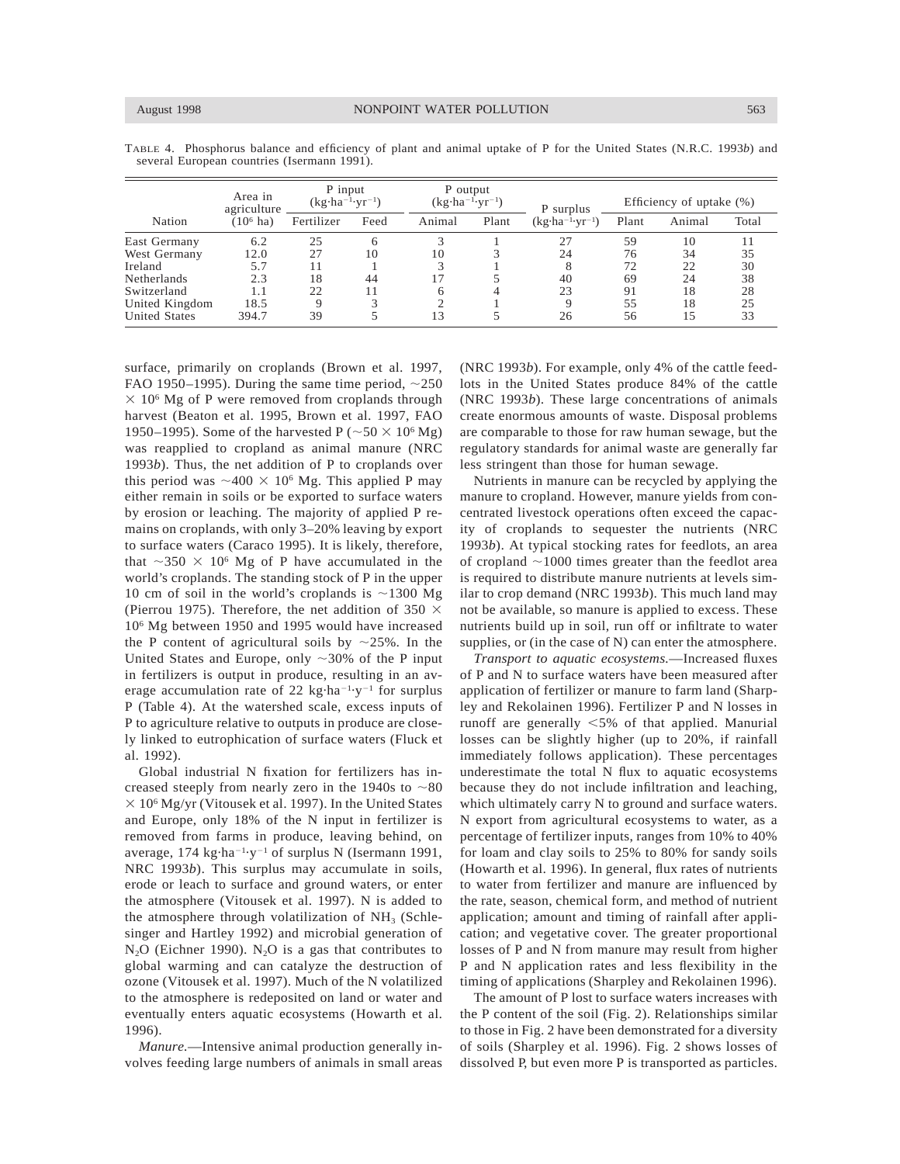|                      | Area in<br>agriculture | P input<br>$(kg \cdot ha^{-1} \cdot yr^{-1})$ |      | P output<br>$(kg \cdot ha^{-1} \cdot yr^{-1})$ |       | P surplus                          | Efficiency of uptake $(\%)$ |        |       |
|----------------------|------------------------|-----------------------------------------------|------|------------------------------------------------|-------|------------------------------------|-----------------------------|--------|-------|
| Nation               | $(106$ ha)             | Fertilizer                                    | Feed | Animal                                         | Plant | $(kg \cdot ha^{-1} \cdot yr^{-1})$ | Plant                       | Animal | Total |
| East Germany         | 6.2                    | 25                                            | 6    |                                                |       | 27                                 | 59                          | 10     |       |
| West Germany         | 12.0                   | 27                                            | 10   | 10                                             |       | 24                                 | 76                          | 34     | 35    |
| Ireland              | 5.7                    | l 1                                           |      | 3                                              |       |                                    | 72                          | 22     | 30    |
| <b>Netherlands</b>   | 2.3                    | 18                                            | 44   | . 7                                            |       | 40                                 | 69                          | 24     | 38    |
| Switzerland          | 1.1                    | 22                                            | 11   | 6                                              |       | 23                                 | 91                          | 18     | 28    |
| United Kingdom       | 18.5                   | 9                                             |      | ◠                                              |       |                                    | 55                          | 18     | 25    |
| <b>United States</b> | 394.7                  | 39                                            |      | 3                                              |       | 26                                 | 56                          | 15     | 33    |

TABLE 4. Phosphorus balance and efficiency of plant and animal uptake of P for the United States (N.R.C. 1993*b*) and several European countries (Isermann 1991).

surface, primarily on croplands (Brown et al. 1997, FAO 1950–1995). During the same time period,  $\sim$ 250  $\times$  10<sup>6</sup> Mg of P were removed from croplands through harvest (Beaton et al. 1995, Brown et al. 1997, FAO 1950–1995). Some of the harvested P ( $\sim$  50  $\times$  10<sup>6</sup> Mg) was reapplied to cropland as animal manure (NRC 1993*b*). Thus, the net addition of P to croplands over this period was  ${\sim}400 \times 10^6$  Mg. This applied P may either remain in soils or be exported to surface waters by erosion or leaching. The majority of applied P remains on croplands, with only 3–20% leaving by export to surface waters (Caraco 1995). It is likely, therefore, that  $\sim$ 350  $\times$  10<sup>6</sup> Mg of P have accumulated in the world's croplands. The standing stock of P in the upper 10 cm of soil in the world's croplands is  $\sim$ 1300 Mg (Pierrou 1975). Therefore, the net addition of 350  $\times$ 106 Mg between 1950 and 1995 would have increased the P content of agricultural soils by  $\sim$ 25%. In the United States and Europe, only  $\sim$ 30% of the P input in fertilizers is output in produce, resulting in an average accumulation rate of 22  $kg \cdot ha^{-1} \cdot y^{-1}$  for surplus P (Table 4). At the watershed scale, excess inputs of P to agriculture relative to outputs in produce are closely linked to eutrophication of surface waters (Fluck et al. 1992).

Global industrial N fixation for fertilizers has increased steeply from nearly zero in the 1940s to  $\sim 80$  $\times$  10<sup>6</sup> Mg/yr (Vitousek et al. 1997). In the United States and Europe, only 18% of the N input in fertilizer is removed from farms in produce, leaving behind, on average, 174 kg·ha<sup>-1</sup>·y<sup>-1</sup> of surplus N (Isermann 1991, NRC 1993*b*). This surplus may accumulate in soils, erode or leach to surface and ground waters, or enter the atmosphere (Vitousek et al. 1997). N is added to the atmosphere through volatilization of  $NH<sub>3</sub>$  (Schlesinger and Hartley 1992) and microbial generation of  $N_2O$  (Eichner 1990).  $N_2O$  is a gas that contributes to global warming and can catalyze the destruction of ozone (Vitousek et al. 1997). Much of the N volatilized to the atmosphere is redeposited on land or water and eventually enters aquatic ecosystems (Howarth et al. 1996).

*Manure.*—Intensive animal production generally involves feeding large numbers of animals in small areas (NRC 1993*b*). For example, only 4% of the cattle feedlots in the United States produce 84% of the cattle (NRC 1993*b*). These large concentrations of animals create enormous amounts of waste. Disposal problems are comparable to those for raw human sewage, but the regulatory standards for animal waste are generally far less stringent than those for human sewage.

Nutrients in manure can be recycled by applying the manure to cropland. However, manure yields from concentrated livestock operations often exceed the capacity of croplands to sequester the nutrients (NRC 1993*b*). At typical stocking rates for feedlots, an area of cropland  $\sim$ 1000 times greater than the feedlot area is required to distribute manure nutrients at levels similar to crop demand (NRC 1993*b*). This much land may not be available, so manure is applied to excess. These nutrients build up in soil, run off or infiltrate to water supplies, or (in the case of N) can enter the atmosphere.

*Transport to aquatic ecosystems.*—Increased fluxes of P and N to surface waters have been measured after application of fertilizer or manure to farm land (Sharpley and Rekolainen 1996). Fertilizer P and N losses in runoff are generally  $<5\%$  of that applied. Manurial losses can be slightly higher (up to 20%, if rainfall immediately follows application). These percentages underestimate the total N flux to aquatic ecosystems because they do not include infiltration and leaching, which ultimately carry N to ground and surface waters. N export from agricultural ecosystems to water, as a percentage of fertilizer inputs, ranges from 10% to 40% for loam and clay soils to 25% to 80% for sandy soils (Howarth et al. 1996). In general, flux rates of nutrients to water from fertilizer and manure are influenced by the rate, season, chemical form, and method of nutrient application; amount and timing of rainfall after application; and vegetative cover. The greater proportional losses of P and N from manure may result from higher P and N application rates and less flexibility in the timing of applications (Sharpley and Rekolainen 1996).

The amount of P lost to surface waters increases with the P content of the soil (Fig. 2). Relationships similar to those in Fig. 2 have been demonstrated for a diversity of soils (Sharpley et al. 1996). Fig. 2 shows losses of dissolved P, but even more P is transported as particles.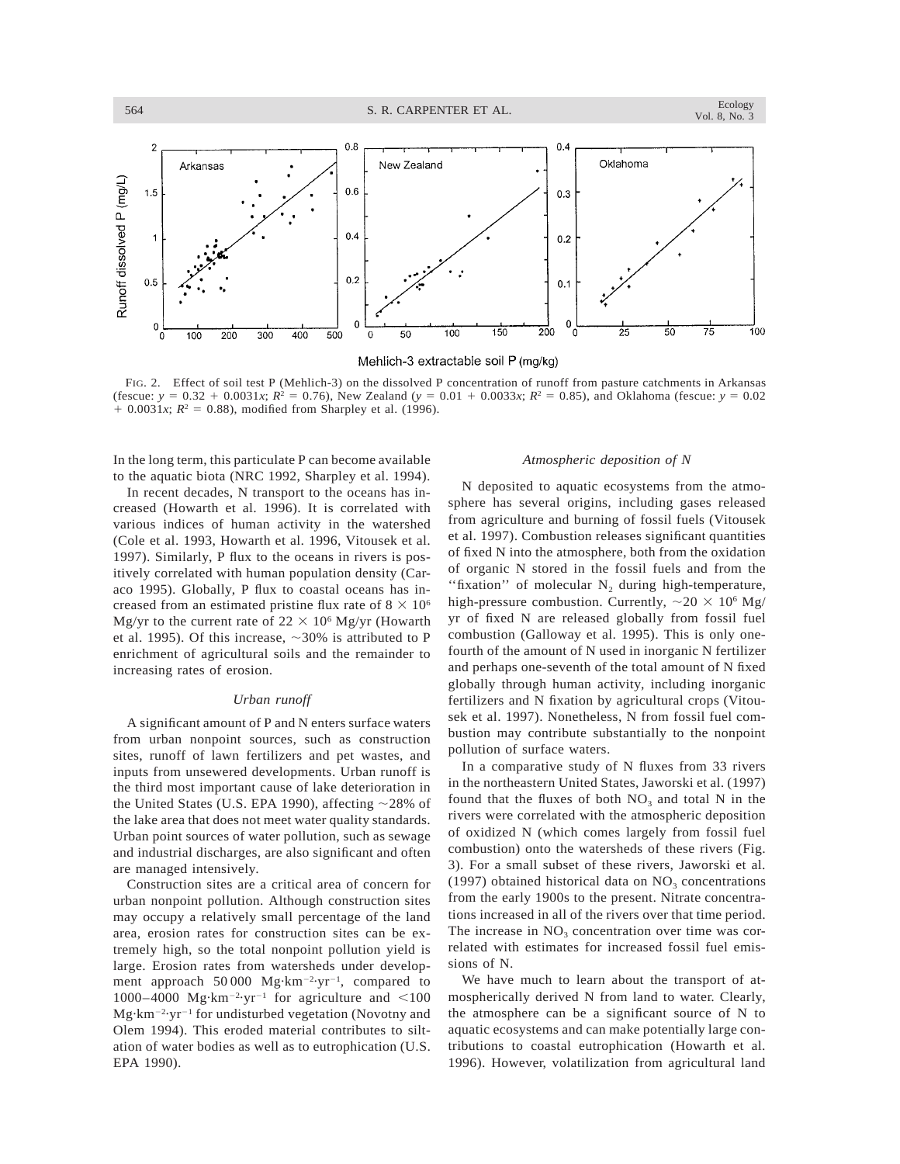

Mehlich-3 extractable soil P (mg/kg)

FIG. 2. Effect of soil test P (Mehlich-3) on the dissolved P concentration of runoff from pasture catchments in Arkansas (fescue:  $y = 0.32 + 0.0031x$ ;  $R^2 = 0.76$ ), New Zealand ( $y = 0.01 + 0.0033x$ ;  $R^2 = 0.85$ ), and Oklahoma (fescue:  $y = 0.02$  $+ 0.0031x$ ;  $R^2 = 0.88$ ), modified from Sharpley et al. (1996).

In the long term, this particulate P can become available to the aquatic biota (NRC 1992, Sharpley et al. 1994).

In recent decades, N transport to the oceans has increased (Howarth et al. 1996). It is correlated with various indices of human activity in the watershed (Cole et al. 1993, Howarth et al. 1996, Vitousek et al. 1997). Similarly, P flux to the oceans in rivers is positively correlated with human population density (Caraco 1995). Globally, P flux to coastal oceans has increased from an estimated pristine flux rate of  $8 \times 10^6$ Mg/yr to the current rate of  $22 \times 10^6$  Mg/yr (Howarth et al. 1995). Of this increase,  $\sim$ 30% is attributed to P enrichment of agricultural soils and the remainder to increasing rates of erosion.

#### *Urban runoff*

A significant amount of P and N enters surface waters from urban nonpoint sources, such as construction sites, runoff of lawn fertilizers and pet wastes, and inputs from unsewered developments. Urban runoff is the third most important cause of lake deterioration in the United States (U.S. EPA 1990), affecting  $\sim$ 28% of the lake area that does not meet water quality standards. Urban point sources of water pollution, such as sewage and industrial discharges, are also significant and often are managed intensively.

Construction sites are a critical area of concern for urban nonpoint pollution. Although construction sites may occupy a relatively small percentage of the land area, erosion rates for construction sites can be extremely high, so the total nonpoint pollution yield is large. Erosion rates from watersheds under development approach  $50000 \text{ Mg} \cdot \text{km}^{-2} \cdot \text{yr}^{-1}$ , compared to 1000–4000 Mg·km<sup>-2</sup>·yr<sup>-1</sup> for agriculture and <100 Mg·km<sup>-2</sup>·yr<sup>-1</sup> for undisturbed vegetation (Novotny and Olem 1994). This eroded material contributes to siltation of water bodies as well as to eutrophication (U.S. EPA 1990).

### *Atmospheric deposition of N*

N deposited to aquatic ecosystems from the atmosphere has several origins, including gases released from agriculture and burning of fossil fuels (Vitousek et al. 1997). Combustion releases significant quantities of fixed N into the atmosphere, both from the oxidation of organic N stored in the fossil fuels and from the "fixation" of molecular  $N_2$  during high-temperature, high-pressure combustion. Currently,  $\sim$  20  $\times$  10<sup>6</sup> Mg/ yr of fixed N are released globally from fossil fuel combustion (Galloway et al. 1995). This is only onefourth of the amount of N used in inorganic N fertilizer and perhaps one-seventh of the total amount of N fixed globally through human activity, including inorganic fertilizers and N fixation by agricultural crops (Vitousek et al. 1997). Nonetheless, N from fossil fuel combustion may contribute substantially to the nonpoint pollution of surface waters.

In a comparative study of N fluxes from 33 rivers in the northeastern United States, Jaworski et al. (1997) found that the fluxes of both  $NO<sub>3</sub>$  and total N in the rivers were correlated with the atmospheric deposition of oxidized N (which comes largely from fossil fuel combustion) onto the watersheds of these rivers (Fig. 3). For a small subset of these rivers, Jaworski et al. (1997) obtained historical data on  $NO<sub>3</sub>$  concentrations from the early 1900s to the present. Nitrate concentrations increased in all of the rivers over that time period. The increase in  $NO<sub>3</sub>$  concentration over time was correlated with estimates for increased fossil fuel emissions of N.

We have much to learn about the transport of atmospherically derived N from land to water. Clearly, the atmosphere can be a significant source of N to aquatic ecosystems and can make potentially large contributions to coastal eutrophication (Howarth et al. 1996). However, volatilization from agricultural land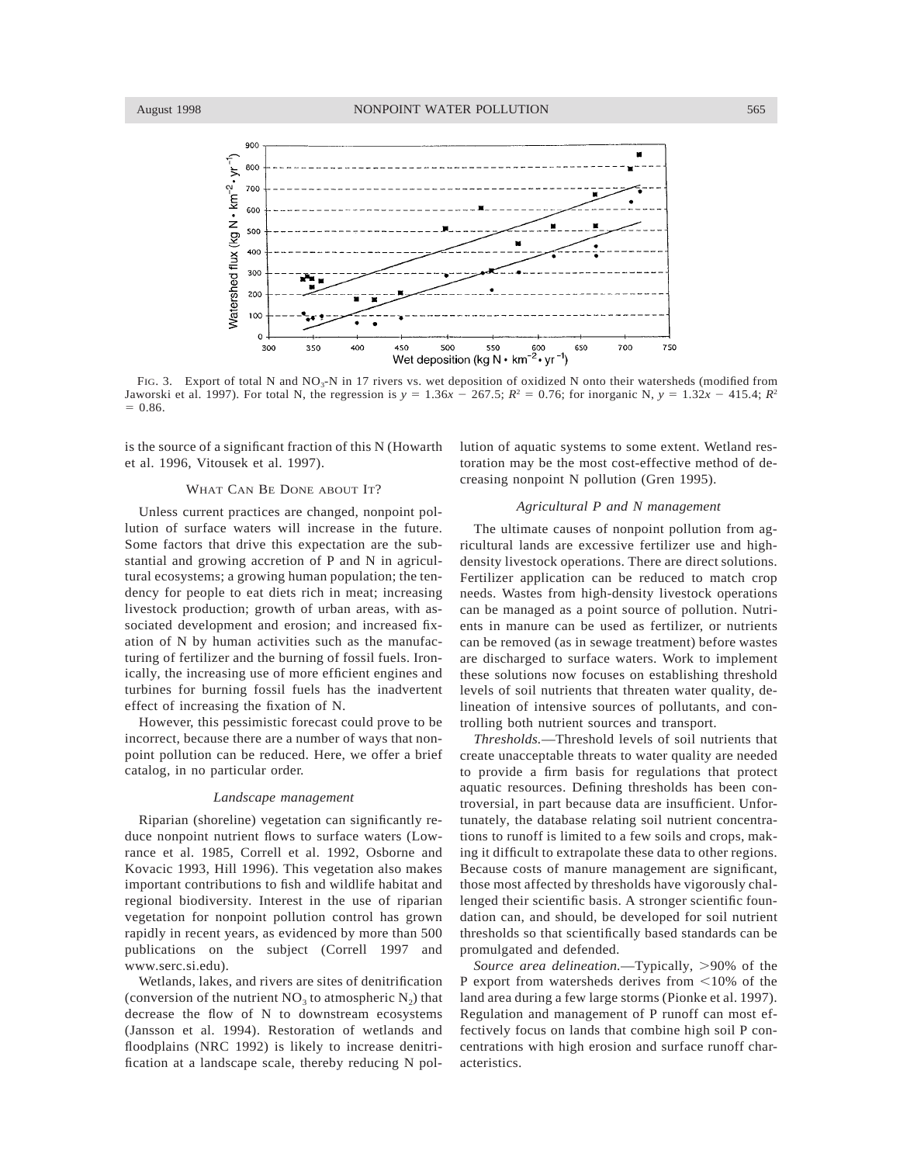

FIG. 3. Export of total N and NO<sub>3</sub>-N in 17 rivers vs. wet deposition of oxidized N onto their watersheds (modified from Jaworski et al. 1997). For total N, the regression is  $y = 1.36x - 267.5$ ;  $R^2 = 0.76$ ; for inorganic N,  $y = 1.32x - 415.4$ ;  $R^2$  $= 0.86.$ 

is the source of a significant fraction of this N (Howarth et al. 1996, Vitousek et al. 1997).

## WHAT CAN BE DONE ABOUT IT?

Unless current practices are changed, nonpoint pollution of surface waters will increase in the future. Some factors that drive this expectation are the substantial and growing accretion of P and N in agricultural ecosystems; a growing human population; the tendency for people to eat diets rich in meat; increasing livestock production; growth of urban areas, with associated development and erosion; and increased fixation of N by human activities such as the manufacturing of fertilizer and the burning of fossil fuels. Ironically, the increasing use of more efficient engines and turbines for burning fossil fuels has the inadvertent effect of increasing the fixation of N.

However, this pessimistic forecast could prove to be incorrect, because there are a number of ways that nonpoint pollution can be reduced. Here, we offer a brief catalog, in no particular order.

#### *Landscape management*

Riparian (shoreline) vegetation can significantly reduce nonpoint nutrient flows to surface waters (Lowrance et al. 1985, Correll et al. 1992, Osborne and Kovacic 1993, Hill 1996). This vegetation also makes important contributions to fish and wildlife habitat and regional biodiversity. Interest in the use of riparian vegetation for nonpoint pollution control has grown rapidly in recent years, as evidenced by more than 500 publications on the subject (Correll 1997 and www.serc.si.edu).

Wetlands, lakes, and rivers are sites of denitrification (conversion of the nutrient  $NO<sub>3</sub>$  to atmospheric  $N<sub>2</sub>$ ) that decrease the flow of N to downstream ecosystems (Jansson et al. 1994). Restoration of wetlands and floodplains (NRC 1992) is likely to increase denitrification at a landscape scale, thereby reducing N pollution of aquatic systems to some extent. Wetland restoration may be the most cost-effective method of decreasing nonpoint N pollution (Gren 1995).

# *Agricultural P and N management*

The ultimate causes of nonpoint pollution from agricultural lands are excessive fertilizer use and highdensity livestock operations. There are direct solutions. Fertilizer application can be reduced to match crop needs. Wastes from high-density livestock operations can be managed as a point source of pollution. Nutrients in manure can be used as fertilizer, or nutrients can be removed (as in sewage treatment) before wastes are discharged to surface waters. Work to implement these solutions now focuses on establishing threshold levels of soil nutrients that threaten water quality, delineation of intensive sources of pollutants, and controlling both nutrient sources and transport.

*Thresholds.*—Threshold levels of soil nutrients that create unacceptable threats to water quality are needed to provide a firm basis for regulations that protect aquatic resources. Defining thresholds has been controversial, in part because data are insufficient. Unfortunately, the database relating soil nutrient concentrations to runoff is limited to a few soils and crops, making it difficult to extrapolate these data to other regions. Because costs of manure management are significant, those most affected by thresholds have vigorously challenged their scientific basis. A stronger scientific foundation can, and should, be developed for soil nutrient thresholds so that scientifically based standards can be promulgated and defended.

*Source area delineation.*—Typically, >90% of the P export from watersheds derives from  $\leq 10\%$  of the land area during a few large storms (Pionke et al. 1997). Regulation and management of P runoff can most effectively focus on lands that combine high soil P concentrations with high erosion and surface runoff characteristics.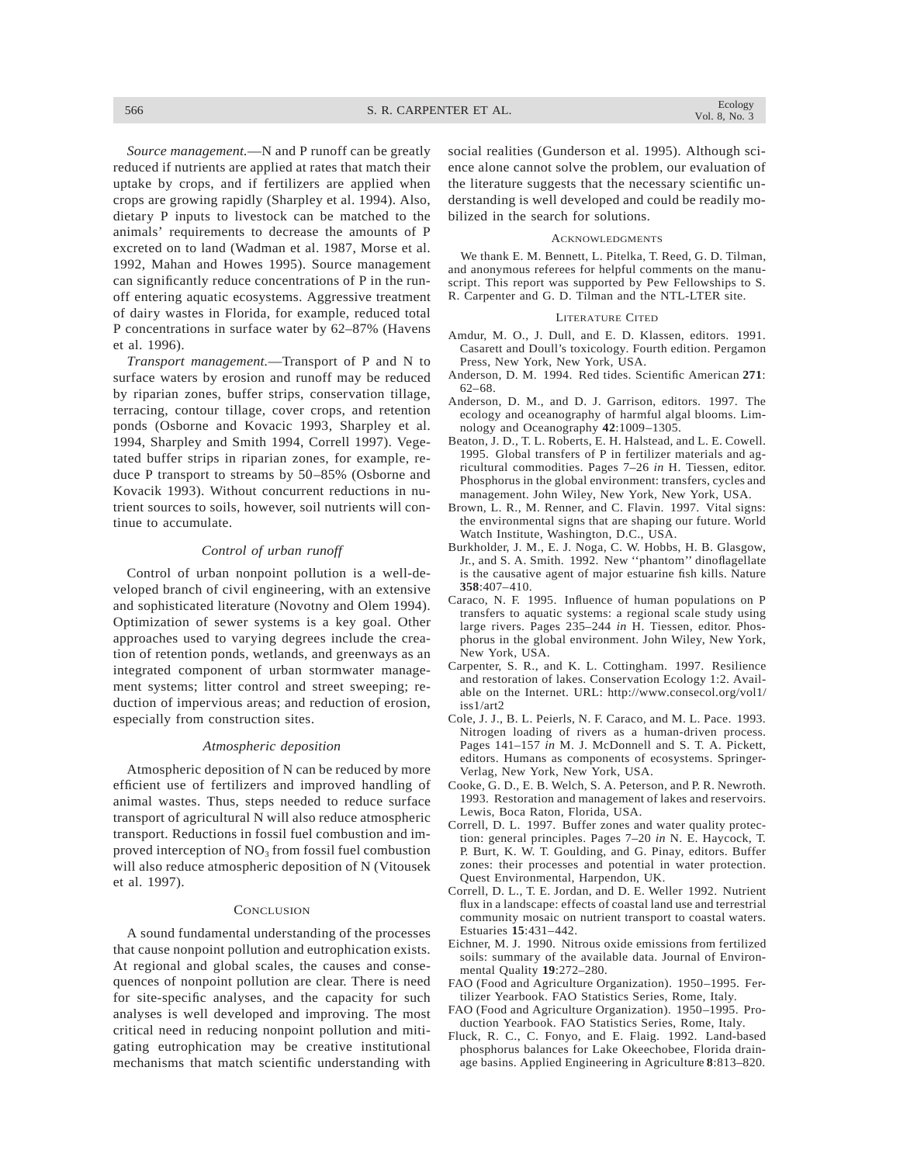566 S. R. CARPENTER ET AL.

*Source management.*—N and P runoff can be greatly reduced if nutrients are applied at rates that match their uptake by crops, and if fertilizers are applied when crops are growing rapidly (Sharpley et al. 1994). Also, dietary P inputs to livestock can be matched to the animals' requirements to decrease the amounts of P excreted on to land (Wadman et al. 1987, Morse et al. 1992, Mahan and Howes 1995). Source management can significantly reduce concentrations of P in the runoff entering aquatic ecosystems. Aggressive treatment of dairy wastes in Florida, for example, reduced total P concentrations in surface water by 62–87% (Havens et al. 1996).

*Transport management.*—Transport of P and N to surface waters by erosion and runoff may be reduced by riparian zones, buffer strips, conservation tillage, terracing, contour tillage, cover crops, and retention ponds (Osborne and Kovacic 1993, Sharpley et al. 1994, Sharpley and Smith 1994, Correll 1997). Vegetated buffer strips in riparian zones, for example, reduce P transport to streams by 50–85% (Osborne and Kovacik 1993). Without concurrent reductions in nutrient sources to soils, however, soil nutrients will continue to accumulate.

### *Control of urban runoff*

Control of urban nonpoint pollution is a well-developed branch of civil engineering, with an extensive and sophisticated literature (Novotny and Olem 1994). Optimization of sewer systems is a key goal. Other approaches used to varying degrees include the creation of retention ponds, wetlands, and greenways as an integrated component of urban stormwater management systems; litter control and street sweeping; reduction of impervious areas; and reduction of erosion, especially from construction sites.

#### *Atmospheric deposition*

Atmospheric deposition of N can be reduced by more efficient use of fertilizers and improved handling of animal wastes. Thus, steps needed to reduce surface transport of agricultural N will also reduce atmospheric transport. Reductions in fossil fuel combustion and improved interception of  $NO<sub>3</sub>$  from fossil fuel combustion will also reduce atmospheric deposition of N (Vitousek et al. 1997).

#### **CONCLUSION**

A sound fundamental understanding of the processes that cause nonpoint pollution and eutrophication exists. At regional and global scales, the causes and consequences of nonpoint pollution are clear. There is need for site-specific analyses, and the capacity for such analyses is well developed and improving. The most critical need in reducing nonpoint pollution and mitigating eutrophication may be creative institutional mechanisms that match scientific understanding with social realities (Gunderson et al. 1995). Although science alone cannot solve the problem, our evaluation of the literature suggests that the necessary scientific understanding is well developed and could be readily mobilized in the search for solutions.

#### **ACKNOWLEDGMENTS**

We thank E. M. Bennett, L. Pitelka, T. Reed, G. D. Tilman, and anonymous referees for helpful comments on the manuscript. This report was supported by Pew Fellowships to S. R. Carpenter and G. D. Tilman and the NTL-LTER site.

#### LITERATURE CITED

- Amdur, M. O., J. Dull, and E. D. Klassen, editors. 1991. Casarett and Doull's toxicology. Fourth edition. Pergamon Press, New York, New York, USA.
- Anderson, D. M. 1994. Red tides. Scientific American **271**: 62–68.
- Anderson, D. M., and D. J. Garrison, editors. 1997. The ecology and oceanography of harmful algal blooms. Limnology and Oceanography **42**:1009–1305.
- Beaton, J. D., T. L. Roberts, E. H. Halstead, and L. E. Cowell. 1995. Global transfers of P in fertilizer materials and agricultural commodities. Pages 7–26 *in* H. Tiessen, editor. Phosphorus in the global environment: transfers, cycles and management. John Wiley, New York, New York, USA.
- Brown, L. R., M. Renner, and C. Flavin. 1997. Vital signs: the environmental signs that are shaping our future. World Watch Institute, Washington, D.C., USA.
- Burkholder, J. M., E. J. Noga, C. W. Hobbs, H. B. Glasgow, Jr., and S. A. Smith. 1992. New ''phantom'' dinoflagellate is the causative agent of major estuarine fish kills. Nature **358**:407–410.
- Caraco, N. F. 1995. Influence of human populations on P transfers to aquatic systems: a regional scale study using large rivers. Pages 235–244 *in* H. Tiessen, editor. Phosphorus in the global environment. John Wiley, New York, New York, USA.
- Carpenter, S. R., and K. L. Cottingham. 1997. Resilience and restoration of lakes. Conservation Ecology 1:2. Available on the Internet. URL: http://www.consecol.org/vol1/ iss1/art2
- Cole, J. J., B. L. Peierls, N. F. Caraco, and M. L. Pace. 1993. Nitrogen loading of rivers as a human-driven process. Pages 141–157 *in* M. J. McDonnell and S. T. A. Pickett, editors. Humans as components of ecosystems. Springer-Verlag, New York, New York, USA.
- Cooke, G. D., E. B. Welch, S. A. Peterson, and P. R. Newroth. 1993. Restoration and management of lakes and reservoirs. Lewis, Boca Raton, Florida, USA.
- Correll, D. L. 1997. Buffer zones and water quality protection: general principles. Pages 7–20 *in* N. E. Haycock, T. P. Burt, K. W. T. Goulding, and G. Pinay, editors. Buffer zones: their processes and potential in water protection. Quest Environmental, Harpendon, UK.
- Correll, D. L., T. E. Jordan, and D. E. Weller 1992. Nutrient flux in a landscape: effects of coastal land use and terrestrial community mosaic on nutrient transport to coastal waters. Estuaries **15**:431–442.
- Eichner, M. J. 1990. Nitrous oxide emissions from fertilized soils: summary of the available data. Journal of Environmental Quality **19**:272–280.
- FAO (Food and Agriculture Organization). 1950–1995. Fertilizer Yearbook. FAO Statistics Series, Rome, Italy.
- FAO (Food and Agriculture Organization). 1950–1995. Production Yearbook. FAO Statistics Series, Rome, Italy.
- Fluck, R. C., C. Fonyo, and E. Flaig. 1992. Land-based phosphorus balances for Lake Okeechobee, Florida drainage basins. Applied Engineering in Agriculture **8**:813–820.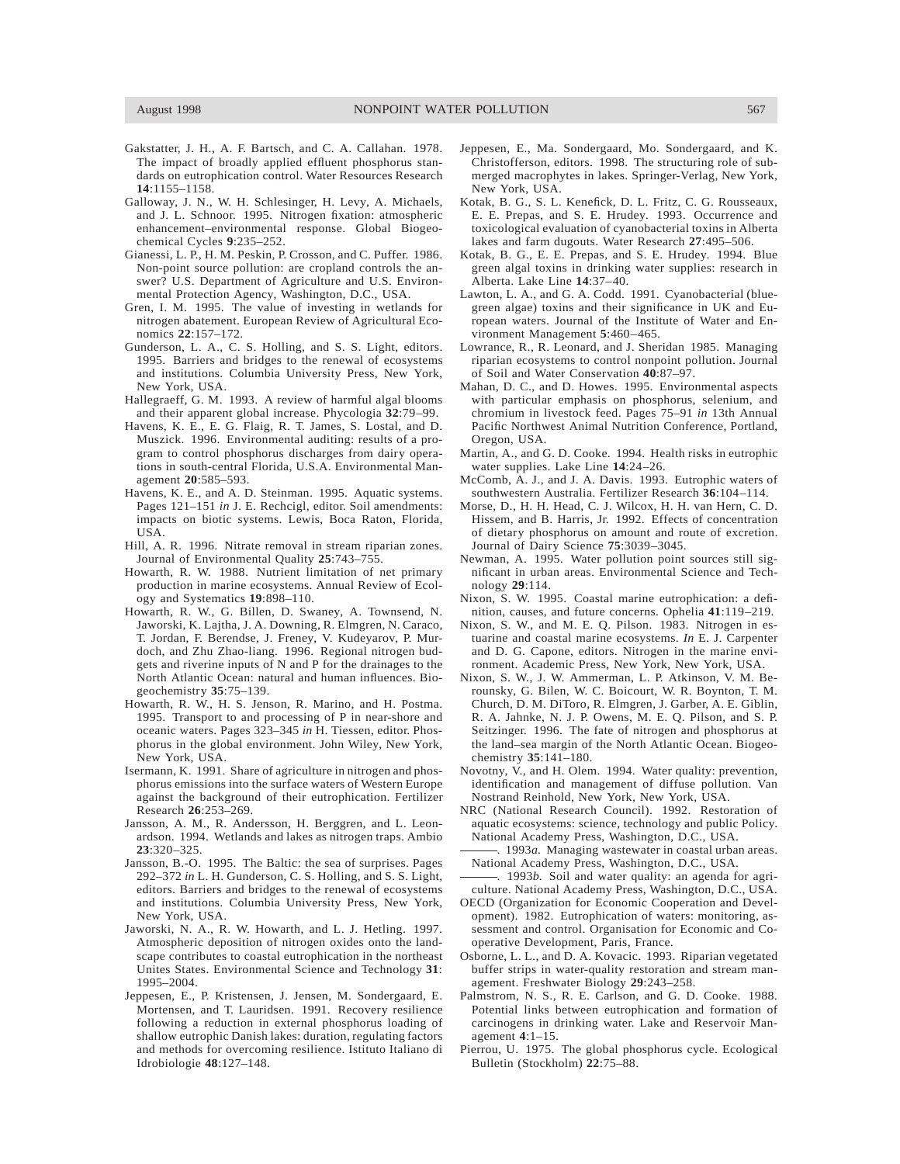- Gakstatter, J. H., A. F. Bartsch, and C. A. Callahan. 1978. The impact of broadly applied effluent phosphorus standards on eutrophication control. Water Resources Research **14**:1155–1158.
- Galloway, J. N., W. H. Schlesinger, H. Levy, A. Michaels, and J. L. Schnoor. 1995. Nitrogen fixation: atmospheric enhancement–environmental response. Global Biogeochemical Cycles **9**:235–252.
- Gianessi, L. P., H. M. Peskin, P. Crosson, and C. Puffer. 1986. Non-point source pollution: are cropland controls the answer? U.S. Department of Agriculture and U.S. Environmental Protection Agency, Washington, D.C., USA.
- Gren, I. M. 1995. The value of investing in wetlands for nitrogen abatement. European Review of Agricultural Economics **22**:157–172.
- Gunderson, L. A., C. S. Holling, and S. S. Light, editors. 1995. Barriers and bridges to the renewal of ecosystems and institutions. Columbia University Press, New York, New York, USA.
- Hallegraeff, G. M. 1993. A review of harmful algal blooms and their apparent global increase. Phycologia **32**:79–99.
- Havens, K. E., E. G. Flaig, R. T. James, S. Lostal, and D. Muszick. 1996. Environmental auditing: results of a program to control phosphorus discharges from dairy operations in south-central Florida, U.S.A. Environmental Management **20**:585–593.
- Havens, K. E., and A. D. Steinman. 1995. Aquatic systems. Pages 121–151 *in* J. E. Rechcigl, editor. Soil amendments: impacts on biotic systems. Lewis, Boca Raton, Florida, USA.
- Hill, A. R. 1996. Nitrate removal in stream riparian zones. Journal of Environmental Quality **25**:743–755.
- Howarth, R. W. 1988. Nutrient limitation of net primary production in marine ecosystems. Annual Review of Ecology and Systematics **19**:898–110.
- Howarth, R. W., G. Billen, D. Swaney, A. Townsend, N. Jaworski, K. Lajtha, J. A. Downing, R. Elmgren, N. Caraco, T. Jordan, F. Berendse, J. Freney, V. Kudeyarov, P. Murdoch, and Zhu Zhao-liang. 1996. Regional nitrogen budgets and riverine inputs of N and P for the drainages to the North Atlantic Ocean: natural and human influences. Biogeochemistry **35**:75–139.
- Howarth, R. W., H. S. Jenson, R. Marino, and H. Postma. 1995. Transport to and processing of P in near-shore and oceanic waters. Pages 323–345 *in* H. Tiessen, editor. Phosphorus in the global environment. John Wiley, New York, New York, USA.
- Isermann, K. 1991. Share of agriculture in nitrogen and phosphorus emissions into the surface waters of Western Europe against the background of their eutrophication. Fertilizer Research **26**:253–269.
- Jansson, A. M., R. Andersson, H. Berggren, and L. Leonardson. 1994. Wetlands and lakes as nitrogen traps. Ambio **23**:320–325.
- Jansson, B.-O. 1995. The Baltic: the sea of surprises. Pages 292–372 *in* L. H. Gunderson, C. S. Holling, and S. S. Light, editors. Barriers and bridges to the renewal of ecosystems and institutions. Columbia University Press, New York, New York, USA.
- Jaworski, N. A., R. W. Howarth, and L. J. Hetling. 1997. Atmospheric deposition of nitrogen oxides onto the landscape contributes to coastal eutrophication in the northeast Unites States. Environmental Science and Technology **31**: 1995–2004.
- Jeppesen, E., P. Kristensen, J. Jensen, M. Sondergaard, E. Mortensen, and T. Lauridsen. 1991. Recovery resilience following a reduction in external phosphorus loading of shallow eutrophic Danish lakes: duration, regulating factors and methods for overcoming resilience. Istituto Italiano di Idrobiologie **48**:127–148.
- Jeppesen, E., Ma. Sondergaard, Mo. Sondergaard, and K. Christofferson, editors. 1998. The structuring role of submerged macrophytes in lakes. Springer-Verlag, New York, New York, USA.
- Kotak, B. G., S. L. Kenefick, D. L. Fritz, C. G. Rousseaux, E. E. Prepas, and S. E. Hrudey. 1993. Occurrence and toxicological evaluation of cyanobacterial toxins in Alberta lakes and farm dugouts. Water Research **27**:495–506.
- Kotak, B. G., E. E. Prepas, and S. E. Hrudey. 1994. Blue green algal toxins in drinking water supplies: research in Alberta. Lake Line **14**:37–40.
- Lawton, L. A., and G. A. Codd. 1991. Cyanobacterial (bluegreen algae) toxins and their significance in UK and European waters. Journal of the Institute of Water and Environment Management **5**:460–465.
- Lowrance, R., R. Leonard, and J. Sheridan 1985. Managing riparian ecosystems to control nonpoint pollution. Journal of Soil and Water Conservation **40**:87–97.
- Mahan, D. C., and D. Howes. 1995. Environmental aspects with particular emphasis on phosphorus, selenium, and chromium in livestock feed. Pages 75–91 *in* 13th Annual Pacific Northwest Animal Nutrition Conference, Portland, Oregon, USA.
- Martin, A., and G. D. Cooke. 1994. Health risks in eutrophic water supplies. Lake Line **14**:24–26.
- McComb, A. J., and J. A. Davis. 1993. Eutrophic waters of southwestern Australia. Fertilizer Research **36**:104–114.
- Morse, D., H. H. Head, C. J. Wilcox, H. H. van Hern, C. D. Hissem, and B. Harris, Jr. 1992. Effects of concentration of dietary phosphorus on amount and route of excretion. Journal of Dairy Science **75**:3039–3045.
- Newman, A. 1995. Water pollution point sources still significant in urban areas. Environmental Science and Technology **29**:114.
- Nixon, S. W. 1995. Coastal marine eutrophication: a definition, causes, and future concerns. Ophelia **41**:119–219.
- Nixon, S. W., and M. E. Q. Pilson. 1983. Nitrogen in estuarine and coastal marine ecosystems. *In* E. J. Carpenter and D. G. Capone, editors. Nitrogen in the marine environment. Academic Press, New York, New York, USA.
- Nixon, S. W., J. W. Ammerman, L. P. Atkinson, V. M. Berounsky, G. Bilen, W. C. Boicourt, W. R. Boynton, T. M. Church, D. M. DiToro, R. Elmgren, J. Garber, A. E. Giblin, R. A. Jahnke, N. J. P. Owens, M. E. Q. Pilson, and S. P. Seitzinger. 1996. The fate of nitrogen and phosphorus at the land–sea margin of the North Atlantic Ocean. Biogeochemistry **35**:141–180.
- Novotny, V., and H. Olem. 1994. Water quality: prevention, identification and management of diffuse pollution. Van Nostrand Reinhold, New York, New York, USA.
- NRC (National Research Council). 1992. Restoration of aquatic ecosystems: science, technology and public Policy. National Academy Press, Washington, D.C., USA.
- . 1993*a.* Managing wastewater in coastal urban areas. National Academy Press, Washington, D.C., USA.
- . 1993*b.* Soil and water quality: an agenda for agriculture. National Academy Press, Washington, D.C., USA.
- OECD (Organization for Economic Cooperation and Development). 1982. Eutrophication of waters: monitoring, assessment and control. Organisation for Economic and Cooperative Development, Paris, France.
- Osborne, L. L., and D. A. Kovacic. 1993. Riparian vegetated buffer strips in water-quality restoration and stream management. Freshwater Biology **29**:243–258.
- Palmstrom, N. S., R. E. Carlson, and G. D. Cooke. 1988. Potential links between eutrophication and formation of carcinogens in drinking water. Lake and Reservoir Management **4**:1–15.
- Pierrou, U. 1975. The global phosphorus cycle. Ecological Bulletin (Stockholm) **22**:75–88.